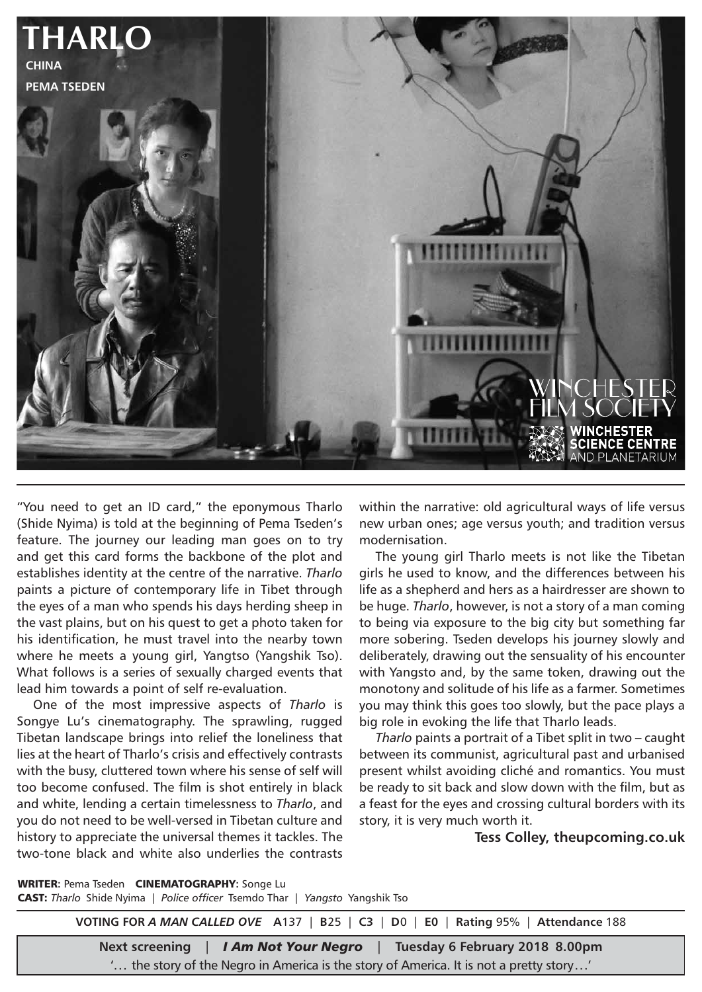

"You need to get an ID card," the eponymous Tharlo (Shide Nyima) is told at the beginning of Pema Tseden's feature. The journey our leading man goes on to try and get this card forms the backbone of the plot and establishes identity at the centre of the narrative. *Tharlo* paints a picture of contemporary life in Tibet through the eyes of a man who spends his days herding sheep in the vast plains, but on his quest to get a photo taken for his identification, he must travel into the nearby town where he meets a young girl, Yangtso (Yangshik Tso). What follows is a series of sexually charged events that lead him towards a point of self re-evaluation.

One of the most impressive aspects of *Tharlo* is Songye Lu's cinematography. The sprawling, rugged Tibetan landscape brings into relief the loneliness that lies at the heart of Tharlo's crisis and effectively contrasts with the busy, cluttered town where his sense of self will too become confused. The film is shot entirely in black and white, lending a certain timelessness to *Tharlo*, and you do not need to be well-versed in Tibetan culture and history to appreciate the universal themes it tackles. The two-tone black and white also underlies the contrasts

within the narrative: old agricultural ways of life versus new urban ones; age versus youth; and tradition versus modernisation.

The young girl Tharlo meets is not like the Tibetan girls he used to know, and the differences between his life as a shepherd and hers as a hairdresser are shown to be huge. *Tharlo*, however, is not a story of a man coming to being via exposure to the big city but something far more sobering. Tseden develops his journey slowly and deliberately, drawing out the sensuality of his encounter with Yangsto and, by the same token, drawing out the monotony and solitude of his life as a farmer. Sometimes you may think this goes too slowly, but the pace plays a big role in evoking the life that Tharlo leads.

*Tharlo* paints a portrait of a Tibet split in two – caught between its communist, agricultural past and urbanised present whilst avoiding cliché and romantics. You must be ready to sit back and slow down with the film, but as a feast for the eyes and crossing cultural borders with its story, it is very much worth it.

**Tess Colley, theupcoming.co.uk**

**WRITER: Pema Tseden CINEMATOGRAPHY: Songe Lu** CAST: *Tharlo* Shide Nyima | *Police officer* Tsemdo Thar | *Yangsto* Yangshik Tso

**VOTING FOR** *A MAN CALLED OVE* **A**137 | **B**25 | **C3** | **D**0 | **E0** | **Rating** 95% | **Attendance** 188

**Next screening** | *I Am Not Your Negro* | **Tuesday 6 February 2018 8.00pm** '... the story of the Negro in America is the story of America. It is not a pretty story...'